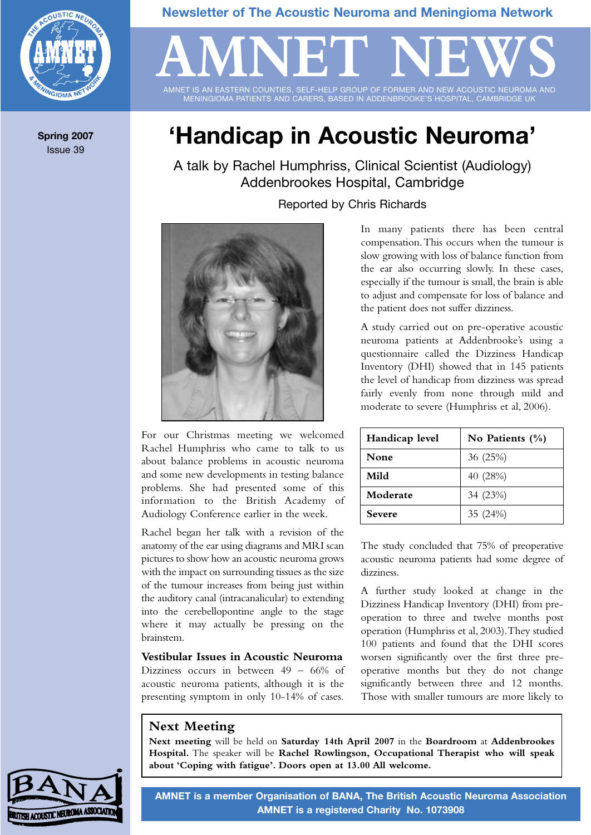

**Spring 2007** Issue 39

### **Newsletter of The Acoustic Neuroma and Meningioma Network**

# **'Handicap in Acoustic Neuroma'**

AMNET IS AN EASTERN COUNTIES, SELF-HELP GROUP OF FORMER AND NEW ACOUSTIC NEUROMA AND MENINGIOMA PATIENTS AND CARERS, BASED IN ADDENBROOKE'S HOSPITAL, CAMBRIDGE UK

AMNET NEWS

A talk by Rachel Humphriss, Clinical Scientist (Audiology) Addenbrookes Hospital, Cambridge

Reported by Chris Richards



For our Christmas meeting we welcomed Rachel Humphriss who came to talk to us about balance problems in acoustic neuroma and some new developments in testing balance problems. She had presented some of this information to the British Academy of Audiology Conference earlier in the week.

Rachel began her talk with a revision of the anatomy of the ear using diagrams and MRI scan pictures to show how an acoustic neuroma grows with the impact on surrounding tissues as the size of the tumour increases from being just within the auditory canal (intracanalicular) to extending into the cerebellopontine angle to the stage where it may actually be pressing on the brainstem.

#### **Vestibular Issues in Acoustic Neuroma**

Dizziness occurs in between 49 – 66% of acoustic neuroma patients, although it is the presenting symptom in only 10-14% of cases.

In many patients there has been central compensation.This occurs when the tumour is slow growing with loss of balance function from the ear also occurring slowly. In these cases, especially if the tumour is small, the brain is able to adjust and compensate for loss of balance and the patient does not suffer dizziness.

A study carried out on pre-operative acoustic neuroma patients at Addenbrooke's using a questionnaire called the Dizziness Handicap Inventory (DHI) showed that in 145 patients the level of handicap from dizziness was spread fairly evenly from none through mild and moderate to severe (Humphriss et al, 2006).

| Handicap level | No Patients $(\% )$ |  |  |
|----------------|---------------------|--|--|
| None           | 36 (25%)            |  |  |
| Mild           | 40 (28%)            |  |  |
| Moderate       | 34 (23%)            |  |  |
| <b>Severe</b>  | 35 (24%)            |  |  |

The study concluded that 75% of preoperative acoustic neuroma patients had some degree of dizziness.

A further study looked at change in the Dizziness Handicap Inventory (DHI) from preoperation to three and twelve months post operation (Humphriss et al, 2003).They studied 100 patients and found that the DHI scores worsen significantly over the first three preoperative months but they do not change significantly between three and 12 months. Those with smaller tumours are more likely to

### **Next Meeting**

**Next meeting** will be held on **Saturday 14th April 2007** in the **Boardroom** at **Addenbrookes Hospital.** The speaker will be **Rachel Rowlingson, Occupational Therapist who will speak about 'Coping with fatigue'. Doors open at 13.00 All welcome.**



**AMNET is a member Organisation of BANA, The British Acoustic Neuroma Association AMNET is a registered Charity No. 1073908**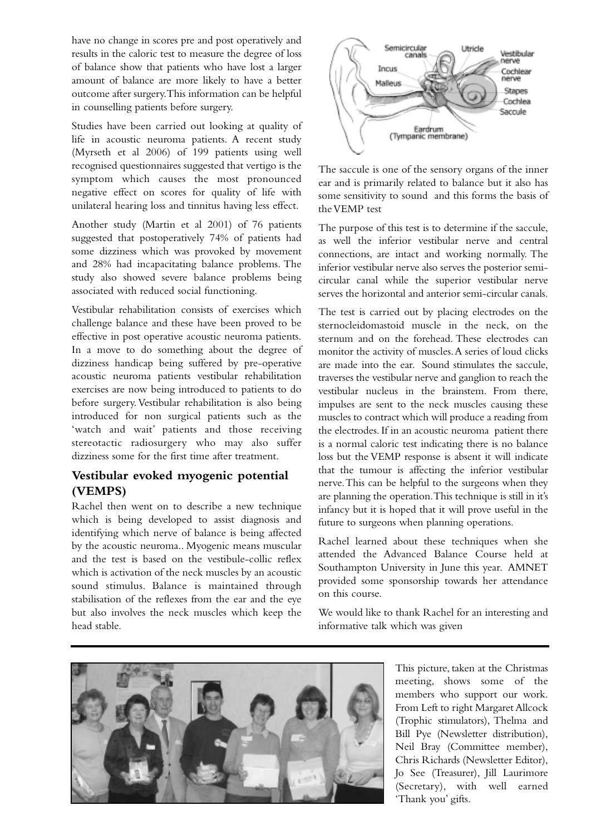have no change in scores pre and post operatively and results in the caloric test to measure the degree of loss of balance show that patients who have lost a larger amount of balance are more likely to have a better outcome after surgery.This information can be helpful in counselling patients before surgery.

Studies have been carried out looking at quality of life in acoustic neuroma patients. A recent study (Myrseth et al 2006) of 199 patients using well recognised questionnaires suggested that vertigo is the symptom which causes the most pronounced negative effect on scores for quality of life with unilateral hearing loss and tinnitus having less effect.

Another study (Martin et al 2001) of 76 patients suggested that postoperatively 74% of patients had some dizziness which was provoked by movement and 28% had incapacitating balance problems. The study also showed severe balance problems being associated with reduced social functioning.

Vestibular rehabilitation consists of exercises which challenge balance and these have been proved to be effective in post operative acoustic neuroma patients. In a move to do something about the degree of dizziness handicap being suffered by pre-operative acoustic neuroma patients vestibular rehabilitation exercises are now being introduced to patients to do before surgery. Vestibular rehabilitation is also being introduced for non surgical patients such as the 'watch and wait' patients and those receiving stereotactic radiosurgery who may also suffer dizziness some for the first time after treatment.

#### **Vestibular evoked myogenic potential (VEMPS)**

Rachel then went on to describe a new technique which is being developed to assist diagnosis and identifying which nerve of balance is being affected by the acoustic neuroma.. Myogenic means muscular and the test is based on the vestibule-collic reflex which is activation of the neck muscles by an acoustic sound stimulus. Balance is maintained through stabilisation of the reflexes from the ear and the eye but also involves the neck muscles which keep the head stable.



The saccule is one of the sensory organs of the inner ear and is primarily related to balance but it also has some sensitivity to sound and this forms the basis of the VEMP test

The purpose of this test is to determine if the saccule, as well the inferior vestibular nerve and central connections, are intact and working normally. The inferior vestibular nerve also serves the posterior semicircular canal while the superior vestibular nerve serves the horizontal and anterior semi-circular canals.

The test is carried out by placing electrodes on the sternocleidomastoid muscle in the neck, on the sternum and on the forehead. These electrodes can monitor the activity of muscles.A series of loud clicks are made into the ear. Sound stimulates the saccule, traverses the vestibular nerve and ganglion to reach the vestibular nucleus in the brainstem. From there, impulses are sent to the neck muscles causing these muscles to contract which will produce a reading from the electrodes. If in an acoustic neuroma patient there is a normal caloric test indicating there is no balance loss but the VEMP response is absent it will indicate that the tumour is affecting the inferior vestibular nerve.This can be helpful to the surgeons when they are planning the operation.This technique is still in it's infancy but it is hoped that it will prove useful in the future to surgeons when planning operations.

Rachel learned about these techniques when she attended the Advanced Balance Course held at Southampton University in June this year. AMNET provided some sponsorship towards her attendance on this course.

We would like to thank Rachel for an interesting and informative talk which was given



This picture, taken at the Christmas meeting, shows some of the members who support our work. From Left to right Margaret Allcock (Trophic stimulators), Thelma and Bill Pye (Newsletter distribution), Neil Bray (Committee member), Chris Richards (Newsletter Editor), Jo See (Treasurer), Jill Laurimore (Secretary), with well earned 'Thank you' gifts.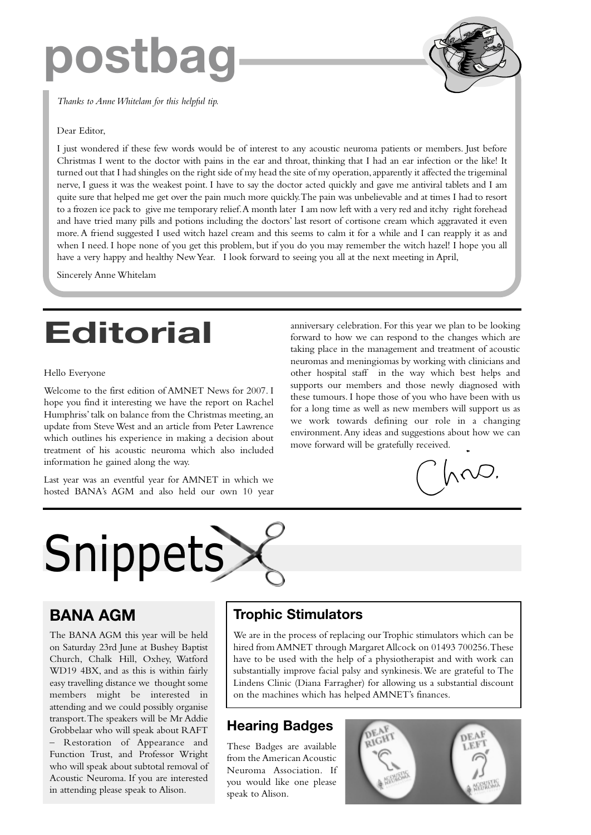# **postbag**

*Thanks to Anne Whitelam for this helpful tip.*

#### Dear Editor,

I just wondered if these few words would be of interest to any acoustic neuroma patients or members. Just before Christmas I went to the doctor with pains in the ear and throat, thinking that I had an ear infection or the like! It turned out that I had shingles on the right side of my head the site of my operation,apparently it affected the trigeminal nerve, I guess it was the weakest point. I have to say the doctor acted quickly and gave me antiviral tablets and I am quite sure that helped me get over the pain much more quickly.The pain was unbelievable and at times I had to resort to a frozen ice pack to give me temporary relief.A month later I am now left with a very red and itchy right forehead and have tried many pills and potions including the doctors' last resort of cortisone cream which aggravated it even more. A friend suggested I used witch hazel cream and this seems to calm it for a while and I can reapply it as and when I need. I hope none of you get this problem, but if you do you may remember the witch hazel! I hope you all have a very happy and healthy New Year. I look forward to seeing you all at the next meeting in April,

Sincerely Anne Whitelam

# **Editorial**

#### Hello Everyone

Welcome to the first edition of AMNET News for 2007. I hope you find it interesting we have the report on Rachel Humphriss' talk on balance from the Christmas meeting, an update from Steve West and an article from Peter Lawrence which outlines his experience in making a decision about treatment of his acoustic neuroma which also included information he gained along the way.

Last year was an eventful year for AMNET in which we hosted BANA's AGM and also held our own 10 year anniversary celebration. For this year we plan to be looking forward to how we can respond to the changes which are taking place in the management and treatment of acoustic neuromas and meningiomas by working with clinicians and other hospital staff in the way which best helps and supports our members and those newly diagnosed with these tumours. I hope those of you who have been with us for a long time as well as new members will support us as we work towards defining our role in a changing environment.Any ideas and suggestions about how we can move forward will be gratefully received.

 $\Lambda$ 

# **Snippets**

# **BANA AGM**

The BANA AGM this year will be held on Saturday 23rd June at Bushey Baptist Church, Chalk Hill, Oxhey, Watford WD19 4BX, and as this is within fairly easy travelling distance we thought some members might be interested in attending and we could possibly organise transport.The speakers will be Mr Addie Grobbelaar who will speak about RAFT – Restoration of Appearance and Function Trust, and Professor Wright who will speak about subtotal removal of Acoustic Neuroma. If you are interested in attending please speak to Alison.

# **Trophic Stimulators**

We are in the process of replacing our Trophic stimulators which can be hired from AMNET through Margaret Allcock on 01493 700256.These have to be used with the help of a physiotherapist and with work can substantially improve facial palsy and synkinesis.We are grateful to The Lindens Clinic (Diana Farragher) for allowing us a substantial discount on the machines which has helped AMNET's finances.

# **Hearing Badges**

These Badges are available from the American Acoustic Neuroma Association. If you would like one please speak to Alison.

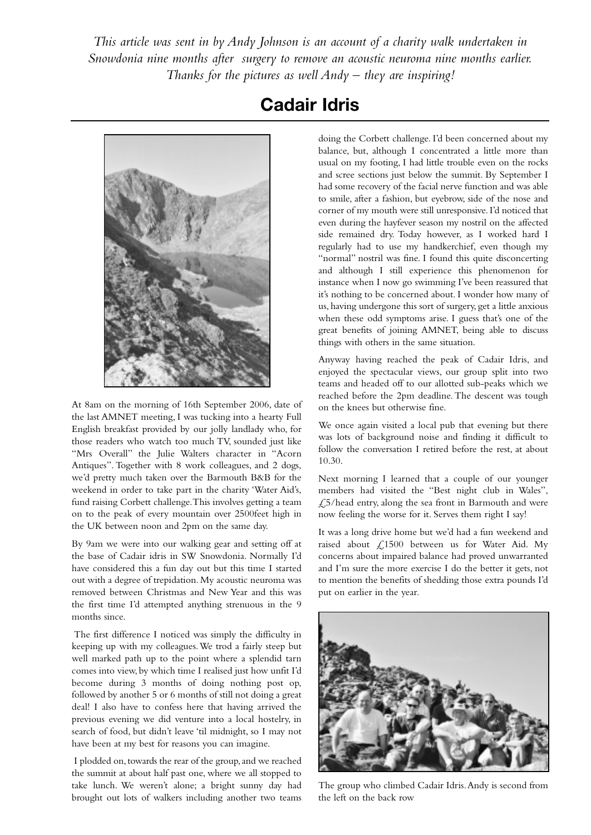*This article was sent in by Andy Johnson is an account of a charity walk undertaken in Snowdonia nine months after surgery to remove an acoustic neuroma nine months earlier. Thanks for the pictures as well Andy – they are inspiring!*



At 8am on the morning of 16th September 2006, date of the last AMNET meeting, I was tucking into a hearty Full English breakfast provided by our jolly landlady who, for those readers who watch too much TV, sounded just like "Mrs Overall" the Julie Walters character in "Acorn Antiques". Together with 8 work colleagues, and 2 dogs, we'd pretty much taken over the Barmouth B&B for the weekend in order to take part in the charity 'Water Aid's, fund raising Corbett challenge.This involves getting a team on to the peak of every mountain over 2500feet high in the UK between noon and 2pm on the same day.

By 9am we were into our walking gear and setting off at the base of Cadair idris in SW Snowdonia. Normally I'd have considered this a fun day out but this time I started out with a degree of trepidation. My acoustic neuroma was removed between Christmas and New Year and this was the first time I'd attempted anything strenuous in the 9 months since.

The first difference I noticed was simply the difficulty in keeping up with my colleagues.We trod a fairly steep but well marked path up to the point where a splendid tarn comes into view, by which time I realised just how unfit I'd become during 3 months of doing nothing post op, followed by another 5 or 6 months of still not doing a great deal! I also have to confess here that having arrived the previous evening we did venture into a local hostelry, in search of food, but didn't leave 'til midnight, so I may not have been at my best for reasons you can imagine.

I plodded on,towards the rear of the group,and we reached the summit at about half past one, where we all stopped to take lunch. We weren't alone; a bright sunny day had brought out lots of walkers including another two teams

# **Cadair Idris**

doing the Corbett challenge. I'd been concerned about my balance, but, although I concentrated a little more than usual on my footing, I had little trouble even on the rocks and scree sections just below the summit. By September I had some recovery of the facial nerve function and was able to smile, after a fashion, but eyebrow, side of the nose and corner of my mouth were still unresponsive. I'd noticed that even during the hayfever season my nostril on the affected side remained dry. Today however, as I worked hard I regularly had to use my handkerchief, even though my "normal" nostril was fine. I found this quite disconcerting and although I still experience this phenomenon for instance when I now go swimming I've been reassured that it's nothing to be concerned about. I wonder how many of us, having undergone this sort of surgery, get a little anxious when these odd symptoms arise. I guess that's one of the great benefits of joining AMNET, being able to discuss things with others in the same situation.

Anyway having reached the peak of Cadair Idris, and enjoyed the spectacular views, our group split into two teams and headed off to our allotted sub-peaks which we reached before the 2pm deadline. The descent was tough on the knees but otherwise fine.

We once again visited a local pub that evening but there was lots of background noise and finding it difficult to follow the conversation I retired before the rest, at about 10.30.

Next morning I learned that a couple of our younger members had visited the "Best night club in Wales", £5/head entry, along the sea front in Barmouth and were now feeling the worse for it. Serves them right I say!

It was a long drive home but we'd had a fun weekend and raised about £1500 between us for Water Aid. My concerns about impaired balance had proved unwarranted and I'm sure the more exercise I do the better it gets, not to mention the benefits of shedding those extra pounds I'd put on earlier in the year.



The group who climbed Cadair Idris.Andy is second from the left on the back row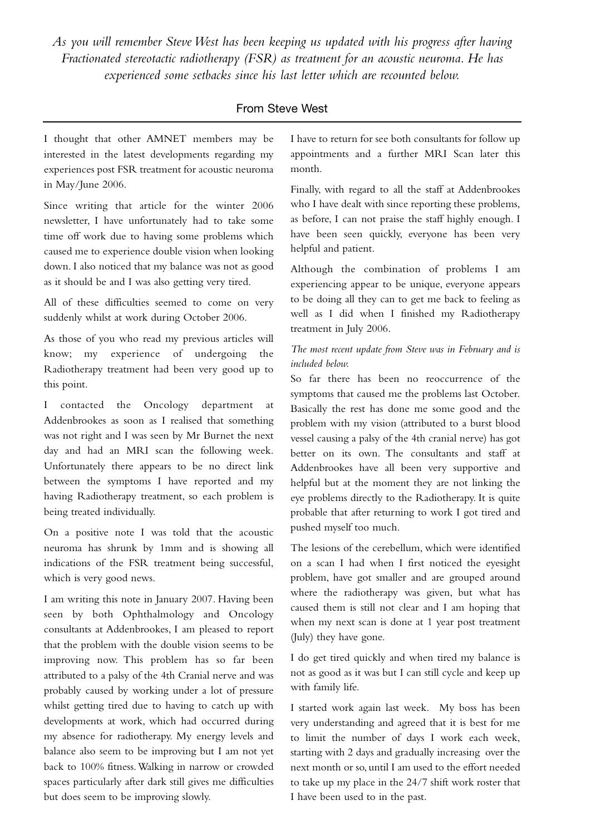*As you will remember Steve West has been keeping us updated with his progress after having Fractionated stereotactic radiotherapy (FSR) as treatment for an acoustic neuroma. He has experienced some setbacks since his last letter which are recounted below.*

#### From Steve West

I thought that other AMNET members may be interested in the latest developments regarding my experiences post FSR treatment for acoustic neuroma in May/June 2006.

Since writing that article for the winter 2006 newsletter, I have unfortunately had to take some time off work due to having some problems which caused me to experience double vision when looking down. I also noticed that my balance was not as good as it should be and I was also getting very tired.

All of these difficulties seemed to come on very suddenly whilst at work during October 2006.

As those of you who read my previous articles will know; my experience of undergoing the Radiotherapy treatment had been very good up to this point.

I contacted the Oncology department at Addenbrookes as soon as I realised that something was not right and I was seen by Mr Burnet the next day and had an MRI scan the following week. Unfortunately there appears to be no direct link between the symptoms I have reported and my having Radiotherapy treatment, so each problem is being treated individually.

On a positive note I was told that the acoustic neuroma has shrunk by 1mm and is showing all indications of the FSR treatment being successful, which is very good news.

I am writing this note in January 2007. Having been seen by both Ophthalmology and Oncology consultants at Addenbrookes, I am pleased to report that the problem with the double vision seems to be improving now. This problem has so far been attributed to a palsy of the 4th Cranial nerve and was probably caused by working under a lot of pressure whilst getting tired due to having to catch up with developments at work, which had occurred during my absence for radiotherapy. My energy levels and balance also seem to be improving but I am not yet back to 100% fitness.Walking in narrow or crowded spaces particularly after dark still gives me difficulties but does seem to be improving slowly.

I have to return for see both consultants for follow up appointments and a further MRI Scan later this month.

Finally, with regard to all the staff at Addenbrookes who I have dealt with since reporting these problems, as before, I can not praise the staff highly enough. I have been seen quickly, everyone has been very helpful and patient.

Although the combination of problems I am experiencing appear to be unique, everyone appears to be doing all they can to get me back to feeling as well as I did when I finished my Radiotherapy treatment in July 2006.

#### *The most recent update from Steve was in February and is included below.*

So far there has been no reoccurrence of the symptoms that caused me the problems last October. Basically the rest has done me some good and the problem with my vision (attributed to a burst blood vessel causing a palsy of the 4th cranial nerve) has got better on its own. The consultants and staff at Addenbrookes have all been very supportive and helpful but at the moment they are not linking the eye problems directly to the Radiotherapy. It is quite probable that after returning to work I got tired and pushed myself too much.

The lesions of the cerebellum, which were identified on a scan I had when I first noticed the eyesight problem, have got smaller and are grouped around where the radiotherapy was given, but what has caused them is still not clear and I am hoping that when my next scan is done at 1 year post treatment (July) they have gone.

I do get tired quickly and when tired my balance is not as good as it was but I can still cycle and keep up with family life.

I started work again last week. My boss has been very understanding and agreed that it is best for me to limit the number of days I work each week, starting with 2 days and gradually increasing over the next month or so, until I am used to the effort needed to take up my place in the 24/7 shift work roster that I have been used to in the past.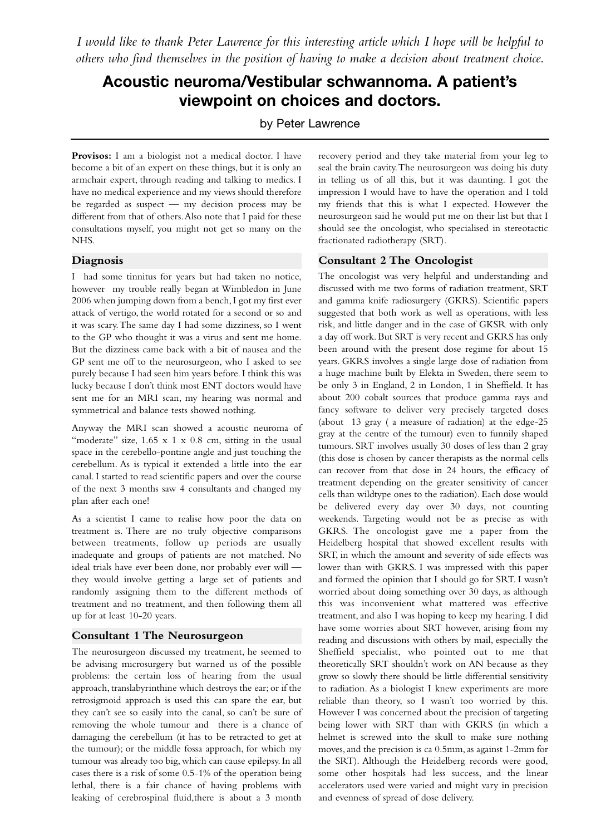*I would like to thank Peter Lawrence for this interesting article which I hope will be helpful to others who find themselves in the position of having to make a decision about treatment choice.*

# **Acoustic neuroma/Vestibular schwannoma. A patient's viewpoint on choices and doctors.**

by Peter Lawrence

**Provisos:** I am a biologist not a medical doctor. I have become a bit of an expert on these things, but it is only an armchair expert, through reading and talking to medics. I have no medical experience and my views should therefore be regarded as suspect — my decision process may be different from that of others.Also note that I paid for these consultations myself, you might not get so many on the NHS.

#### **Diagnosis**

I had some tinnitus for years but had taken no notice, however my trouble really began at Wimbledon in June 2006 when jumping down from a bench,I got my first ever attack of vertigo, the world rotated for a second or so and it was scary.The same day I had some dizziness, so I went to the GP who thought it was a virus and sent me home. But the dizziness came back with a bit of nausea and the GP sent me off to the neurosurgeon, who I asked to see purely because I had seen him years before. I think this was lucky because I don't think most ENT doctors would have sent me for an MRI scan, my hearing was normal and symmetrical and balance tests showed nothing.

Anyway the MRI scan showed a acoustic neuroma of "moderate" size, 1.65 x 1 x 0.8 cm, sitting in the usual space in the cerebello-pontine angle and just touching the cerebellum. As is typical it extended a little into the ear canal. I started to read scientific papers and over the course of the next 3 months saw 4 consultants and changed my plan after each one!

As a scientist I came to realise how poor the data on treatment is. There are no truly objective comparisons between treatments, follow up periods are usually inadequate and groups of patients are not matched. No ideal trials have ever been done, nor probably ever will they would involve getting a large set of patients and randomly assigning them to the different methods of treatment and no treatment, and then following them all up for at least 10-20 years.

#### **Consultant 1 The Neurosurgeon**

The neurosurgeon discussed my treatment, he seemed to be advising microsurgery but warned us of the possible problems: the certain loss of hearing from the usual approach, translabyrinthine which destroys the ear; or if the retrosigmoid approach is used this can spare the ear, but they can't see so easily into the canal, so can't be sure of removing the whole tumour and there is a chance of damaging the cerebellum (it has to be retracted to get at the tumour); or the middle fossa approach, for which my tumour was already too big, which can cause epilepsy. In all cases there is a risk of some 0.5-1% of the operation being lethal, there is a fair chance of having problems with leaking of cerebrospinal fluid,there is about a 3 month

recovery period and they take material from your leg to seal the brain cavity.The neurosurgeon was doing his duty in telling us of all this, but it was daunting. I got the impression I would have to have the operation and I told my friends that this is what I expected. However the neurosurgeon said he would put me on their list but that I should see the oncologist, who specialised in stereotactic fractionated radiotherapy (SRT).

#### **Consultant 2 The Oncologist**

The oncologist was very helpful and understanding and discussed with me two forms of radiation treatment, SRT and gamma knife radiosurgery (GKRS). Scientific papers suggested that both work as well as operations, with less risk, and little danger and in the case of GKSR with only a day off work. But SRT is very recent and GKRS has only been around with the present dose regime for about 15 years. GKRS involves a single large dose of radiation from a huge machine built by Elekta in Sweden, there seem to be only 3 in England, 2 in London, 1 in Sheffield. It has about 200 cobalt sources that produce gamma rays and fancy software to deliver very precisely targeted doses (about 13 gray ( a measure of radiation) at the edge-25 gray at the centre of the tumour) even to funnily shaped tumours. SRT involves usually 30 doses of less than 2 gray (this dose is chosen by cancer therapists as the normal cells can recover from that dose in 24 hours, the efficacy of treatment depending on the greater sensitivity of cancer cells than wildtype ones to the radiation). Each dose would be delivered every day over 30 days, not counting weekends. Targeting would not be as precise as with GKRS. The oncologist gave me a paper from the Heidelberg hospital that showed excellent results with SRT, in which the amount and severity of side effects was lower than with GKRS. I was impressed with this paper and formed the opinion that I should go for SRT. I wasn't worried about doing something over 30 days, as although this was inconvenient what mattered was effective treatment, and also I was hoping to keep my hearing. I did have some worries about SRT however, arising from my reading and discussions with others by mail, especially the Sheffield specialist, who pointed out to me that theoretically SRT shouldn't work on AN because as they grow so slowly there should be little differential sensitivity to radiation. As a biologist I knew experiments are more reliable than theory, so I wasn't too worried by this. However I was concerned about the precision of targeting being lower with SRT than with GKRS (in which a helmet is screwed into the skull to make sure nothing moves, and the precision is ca 0.5mm, as against 1-2mm for the SRT). Although the Heidelberg records were good, some other hospitals had less success, and the linear accelerators used were varied and might vary in precision and evenness of spread of dose delivery.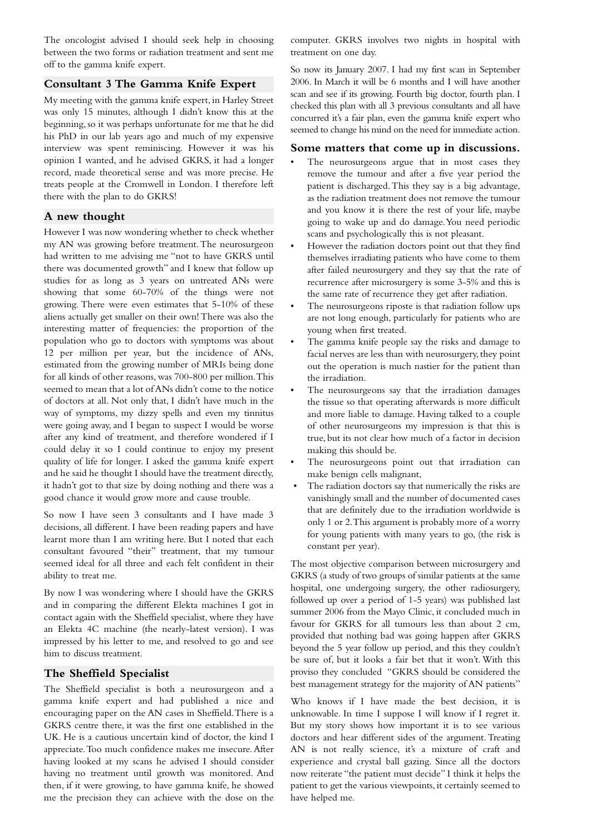The oncologist advised I should seek help in choosing between the two forms or radiation treatment and sent me off to the gamma knife expert.

#### **Consultant 3 The Gamma Knife Expert**

My meeting with the gamma knife expert, in Harley Street was only 15 minutes, although I didn't know this at the beginning, so it was perhaps unfortunate for me that he did his PhD in our lab years ago and much of my expensive interview was spent reminiscing. However it was his opinion I wanted, and he advised GKRS, it had a longer record, made theoretical sense and was more precise. He treats people at the Cromwell in London. I therefore left there with the plan to do GKRS!

#### **A new thought**

However I was now wondering whether to check whether my AN was growing before treatment.The neurosurgeon had written to me advising me "not to have GKRS until there was documented growth" and I knew that follow up studies for as long as 3 years on untreated ANs were showing that some 60-70% of the things were not growing. There were even estimates that 5-10% of these aliens actually get smaller on their own! There was also the interesting matter of frequencies: the proportion of the population who go to doctors with symptoms was about 12 per million per year, but the incidence of ANs, estimated from the growing number of MRIs being done for all kinds of other reasons, was 700-800 per million.This seemed to mean that a lot of ANs didn't come to the notice of doctors at all. Not only that, I didn't have much in the way of symptoms, my dizzy spells and even my tinnitus were going away, and I began to suspect I would be worse after any kind of treatment, and therefore wondered if I could delay it so I could continue to enjoy my present quality of life for longer. I asked the gamma knife expert and he said he thought I should have the treatment directly, it hadn't got to that size by doing nothing and there was a good chance it would grow more and cause trouble.

So now I have seen 3 consultants and I have made 3 decisions, all different. I have been reading papers and have learnt more than I am writing here. But I noted that each consultant favoured "their" treatment, that my tumour seemed ideal for all three and each felt confident in their ability to treat me.

By now I was wondering where I should have the GKRS and in comparing the different Elekta machines I got in contact again with the Sheffield specialist, where they have an Elekta 4C machine (the nearly-latest version). I was impressed by his letter to me, and resolved to go and see him to discuss treatment.

#### **The Sheffield Specialist**

The Sheffield specialist is both a neurosurgeon and a gamma knife expert and had published a nice and encouraging paper on the AN cases in Sheffield.There is a GKRS centre there, it was the first one established in the UK. He is a cautious uncertain kind of doctor, the kind I appreciate.Too much confidence makes me insecure.After having looked at my scans he advised I should consider having no treatment until growth was monitored. And then, if it were growing, to have gamma knife, he showed me the precision they can achieve with the dose on the

computer. GKRS involves two nights in hospital with treatment on one day.

So now its January 2007. I had my first scan in September 2006. In March it will be 6 months and I will have another scan and see if its growing. Fourth big doctor, fourth plan. I checked this plan with all 3 previous consultants and all have concurred it's a fair plan, even the gamma knife expert who seemed to change his mind on the need for immediate action.

#### **Some matters that come up in discussions.**

- The neurosurgeons argue that in most cases they remove the tumour and after a five year period the patient is discharged.This they say is a big advantage, as the radiation treatment does not remove the tumour and you know it is there the rest of your life, maybe going to wake up and do damage.You need periodic scans and psychologically this is not pleasant.
- However the radiation doctors point out that they find themselves irradiating patients who have come to them after failed neurosurgery and they say that the rate of recurrence after microsurgery is some 3-5% and this is the same rate of recurrence they get after radiation.
- The neurosurgeons riposte is that radiation follow ups are not long enough, particularly for patients who are young when first treated.
- The gamma knife people say the risks and damage to facial nerves are less than with neurosurgery, they point out the operation is much nastier for the patient than the irradiation.
- The neurosurgeons say that the irradiation damages the tissue so that operating afterwards is more difficult and more liable to damage. Having talked to a couple of other neurosurgeons my impression is that this is true, but its not clear how much of a factor in decision making this should be.
- The neurosurgeons point out that irradiation can make benign cells malignant,
- The radiation doctors say that numerically the risks are vanishingly small and the number of documented cases that are definitely due to the irradiation worldwide is only 1 or 2.This argument is probably more of a worry for young patients with many years to go, (the risk is constant per year).

The most objective comparison between microsurgery and GKRS (a study of two groups of similar patients at the same hospital, one undergoing surgery, the other radiosurgery, followed up over a period of 1-5 years) was published last summer 2006 from the Mayo Clinic, it concluded much in favour for GKRS for all tumours less than about 2 cm, provided that nothing bad was going happen after GKRS beyond the 5 year follow up period, and this they couldn't be sure of, but it looks a fair bet that it won't. With this proviso they concluded "GKRS should be considered the best management strategy for the majority of AN patients"

Who knows if I have made the best decision, it is unknowable. In time I suppose I will know if I regret it. But my story shows how important it is to see various doctors and hear different sides of the argument. Treating AN is not really science, it's a mixture of craft and experience and crystal ball gazing. Since all the doctors now reiterate "the patient must decide" I think it helps the patient to get the various viewpoints, it certainly seemed to have helped me.